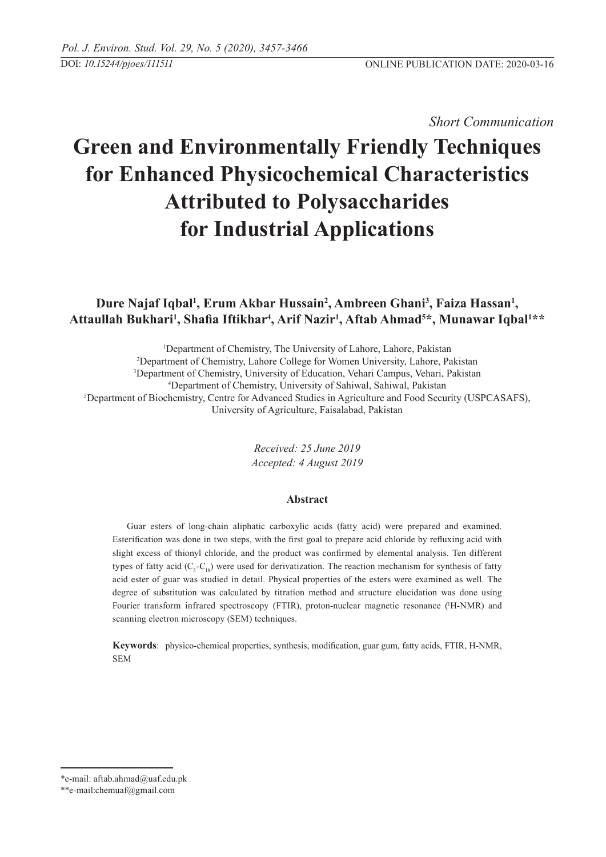*Short Communication* 

# **Green and Environmentally Friendly Techniques for Enhanced Physicochemical Characteristics Attributed to Polysaccharides for Industrial Applications**

# Dure Najaf Iqbal<sup>1</sup>, Erum Akbar Hussain<sup>2</sup>, Ambreen Ghani<sup>3</sup>, Faiza Hassan<sup>1</sup>, **Attaullah Bukhari1 , Shafia Iftikhar<sup>4</sup> , Arif Nazir1 , Aftab Ahmad5 \*, Munawar Iqbal1 \*\***

<sup>1</sup>Department of Chemistry, The University of Lahore, Lahore, Pakistan Department of Chemistry, Lahore College for Women University, Lahore, Pakistan Department of Chemistry, University of Education, Vehari Campus, Vehari, Pakistan Department of Chemistry, University of Sahiwal, Sahiwal, Pakistan Department of Biochemistry, Centre for Advanced Studies in Agriculture and Food Security (USPCASAFS), University of Agriculture, Faisalabad, Pakistan

> *Received: 25 June 2019 Accepted: 4 August 2019*

#### **Abstract**

Guar esters of long-chain aliphatic carboxylic acids (fatty acid) were prepared and examined. Esterification was done in two steps, with the first goal to prepare acid chloride by refluxing acid with slight excess of thionyl chloride, and the product was confirmed by elemental analysis. Ten different types of fatty acid  $(C_5 - C_{18})$  were used for derivatization. The reaction mechanism for synthesis of fatty acid ester of guar was studied in detail. Physical properties of the esters were examined as well. The degree of substitution was calculated by titration method and structure elucidation was done using Fourier transform infrared spectroscopy (FTIR), proton-nuclear magnetic resonance ('H-NMR) and scanning electron microscopy (SEM) techniques.

**Keywords**: physico-chemical properties, synthesis, modification, guar gum, fatty acids, FTIR, H-NMR, SEM

<sup>\*</sup>e-mail: aftab.ahmad@uaf.edu.pk

<sup>\*\*</sup>e-mail:chemuaf@gmail.com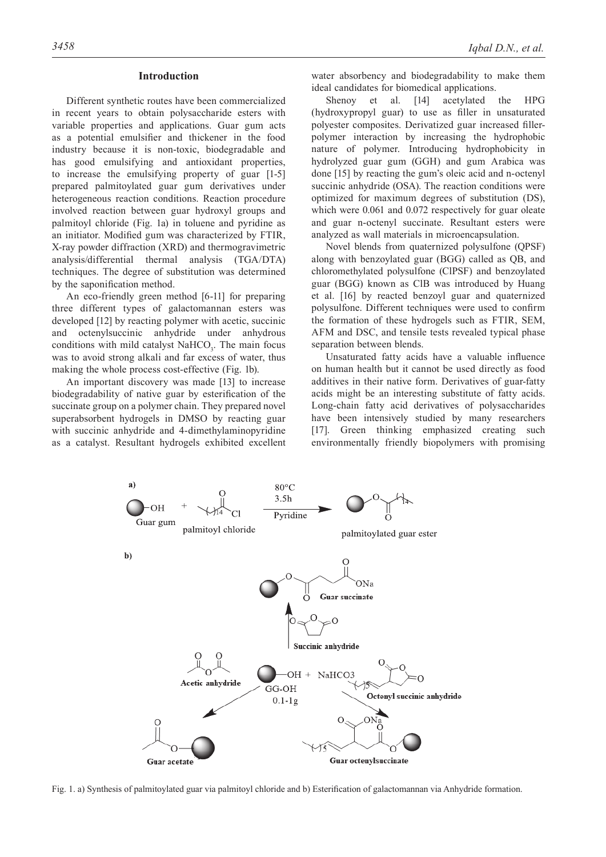#### **Introduction**

Different synthetic routes have been commercialized in recent years to obtain polysaccharide esters with variable properties and applications. Guar gum acts as a potential emulsifier and thickener in the food industry because it is non-toxic, biodegradable and has good emulsifying and antioxidant properties, to increase the emulsifying property of guar [1-5] prepared palmitoylated guar gum derivatives under heterogeneous reaction conditions. Reaction procedure involved reaction between guar hydroxyl groups and palmitoyl chloride (Fig. 1a) in toluene and pyridine as an initiator. Modified gum was characterized by FTIR, X-ray powder diffraction (XRD) and thermogravimetric analysis/differential thermal analysis (TGA/DTA) techniques. The degree of substitution was determined by the saponification method.

An eco-friendly green method [6-11] for preparing three different types of galactomannan esters was developed [12] by reacting polymer with acetic, succinic and octenylsuccinic anhydride under anhydrous conditions with mild catalyst  $NAHCO<sub>3</sub>$ . The main focus was to avoid strong alkali and far excess of water, thus making the whole process cost-effective (Fig. 1b).

An important discovery was made [13] to increase biodegradability of native guar by esterification of the succinate group on a polymer chain. They prepared novel superabsorbent hydrogels in DMSO by reacting guar with succinic anhydride and 4-dimethylaminopyridine as a catalyst. Resultant hydrogels exhibited excellent

water absorbency and biodegradability to make them ideal candidates for biomedical applications.

Shenoy et al. [14] acetylated the HPG (hydroxypropyl guar) to use as filler in unsaturated polyester composites. Derivatized guar increased fillerpolymer interaction by increasing the hydrophobic nature of polymer. Introducing hydrophobicity in hydrolyzed guar gum (GGH) and gum Arabica was done [15] by reacting the gum's oleic acid and n-octenyl succinic anhydride (OSA). The reaction conditions were optimized for maximum degrees of substitution (DS), which were  $0.061$  and  $0.072$  respectively for guar oleate and guar n-octenyl succinate. Resultant esters were analyzed as wall materials in microencapsulation.

Novel blends from quaternized polysulfone (QPSF) along with benzoylated guar (BGG) called as QB, and chloromethylated polysulfone (ClPSF) and benzoylated guar (BGG) known as ClB was introduced by Huang et al. [16] by reacted benzoyl guar and quaternized polysulfone. Different techniques were used to confirm the formation of these hydrogels such as FTIR, SEM, AFM and DSC, and tensile tests revealed typical phase separation between blends.

Unsaturated fatty acids have a valuable influence on human health but it cannot be used directly as food additives in their native form. Derivatives of guar-fatty acids might be an interesting substitute of fatty acids. Long-chain fatty acid derivatives of polysaccharides have been intensively studied by many researchers [17]. Green thinking emphasized creating such environmentally friendly biopolymers with promising



Fig. 1. a) Synthesis of palmitoylated guar via palmitoyl chloride and b) Esterification of galactomannan via Anhydride formation.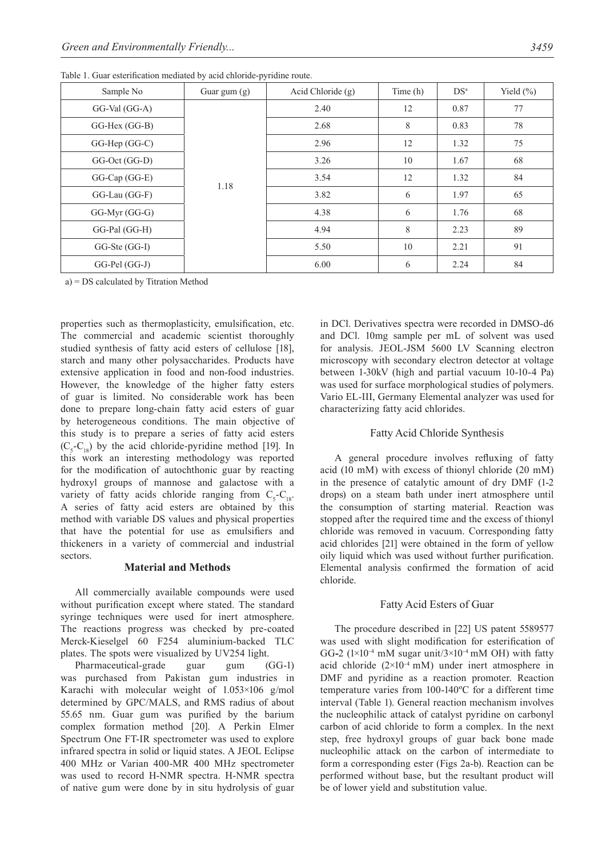| Sample No              | Guar gum $(g)$ | Acid Chloride (g) | Time (h) | DS <sup>a</sup> | Yield $(\% )$ |
|------------------------|----------------|-------------------|----------|-----------------|---------------|
| $GG-Val(GG-A)$         | 1.18           | 2.40              | 12       | 0.87            | 77            |
| GG-Hex (GG-B)          |                | 2.68              | 8        | 0.83            | 78            |
| $GG$ -Hep $(G$ G $-C)$ |                | 2.96              | 12       | 1.32            | 75            |
| GG-Oct (GG-D)          |                | 3.26              | 10       | 1.67            | 68            |
| GG-Cap (GG-E)          |                | 3.54              | 12       | 1.32            | 84            |
| GG-Lau (GG-F)          |                | 3.82              | 6        | 1.97            | 65            |
| $GG-Myr(GG-G)$         |                | 4.38              | 6        | 1.76            | 68            |
| GG-Pal (GG-H)          |                | 4.94              | 8        | 2.23            | 89            |
| GG-Ste (GG-I)          |                | 5.50              | 10       | 2.21            | 91            |
| GG-Pel (GG-J)          |                | 6.00              | 6        | 2.24            | 84            |

Table 1. Guar esterification mediated by acid chloride-pyridine route.

a) = DS calculated by Titration Method

properties such as thermoplasticity, emulsification, etc. The commercial and academic scientist thoroughly studied synthesis of fatty acid esters of cellulose [18], starch and many other polysaccharides. Products have extensive application in food and non-food industries. However, the knowledge of the higher fatty esters of guar is limited. No considerable work has been done to prepare long-chain fatty acid esters of guar by heterogeneous conditions. The main objective of this study is to prepare a series of fatty acid esters  $(C_5 - C_{18})$  by the acid chloride-pyridine method [19]. In this work an interesting methodology was reported for the modification of autochthonic guar by reacting hydroxyl groups of mannose and galactose with a variety of fatty acids chloride ranging from  $C_5 - C_{18}$ . A series of fatty acid esters are obtained by this method with variable DS values and physical properties that have the potential for use as emulsifiers and thickeners in a variety of commercial and industrial sectors.

#### **Material and Methods**

All commercially available compounds were used without purification except where stated. The standard syringe techniques were used for inert atmosphere. The reactions progress was checked by pre-coated Merck-Kieselgel 60 F254 aluminium-backed TLC plates. The spots were visualized by UV254 light.

Pharmaceutical-grade guar gum (GG-1) was purchased from Pakistan gum industries in Karachi with molecular weight of 1.053×106 g/mol determined by GPC/MALS, and RMS radius of about 55.65 nm. Guar gum was purified by the barium complex formation method [20]. A Perkin Elmer Spectrum One FT-IR spectrometer was used to explore infrared spectra in solid or liquid states. A JEOL Eclipse 400 MHz or Varian 400-MR 400 MHz spectrometer was used to record H-NMR spectra. H-NMR spectra of native gum were done by in situ hydrolysis of guar

in DCl. Derivatives spectra were recorded in DMSO-d6 and DCl. 10mg sample per mL of solvent was used for analysis. JEOL-JSM 5600 LV Scanning electron microscopy with secondary electron detector at voltage between 1-30kV (high and partial vacuum 10-10-4 Pa) was used for surface morphological studies of polymers. Vario EL-III, Germany Elemental analyzer was used for characterizing fatty acid chlorides.

# Fatty Acid Chloride Synthesis

A general procedure involves refluxing of fatty acid (10 mM) with excess of thionyl chloride (20 mM) in the presence of catalytic amount of dry DMF (1-2 drops) on a steam bath under inert atmosphere until the consumption of starting material. Reaction was stopped after the required time and the excess of thionyl chloride was removed in vacuum. Corresponding fatty acid chlorides [21] were obtained in the form of yellow oily liquid which was used without further purification. Elemental analysis confirmed the formation of acid chloride.

# Fatty Acid Esters of Guar

The procedure described in [22] US patent 5589577 was used with slight modification for esterification of GG**-**2 (1×10-4 mM sugar unit/3×10-4 mM OH) with fatty acid chloride  $(2\times10^{-4} \text{ mM})$  under inert atmosphere in DMF and pyridine as a reaction promoter. Reaction temperature varies from 100-140ºC for a different time interval (Table 1). General reaction mechanism involves the nucleophilic attack of catalyst pyridine on carbonyl carbon of acid chloride to form a complex. In the next step, free hydroxyl groups of guar back bone made nucleophilic attack on the carbon of intermediate to form a corresponding ester (Figs 2a-b). Reaction can be performed without base, but the resultant product will be of lower yield and substitution value.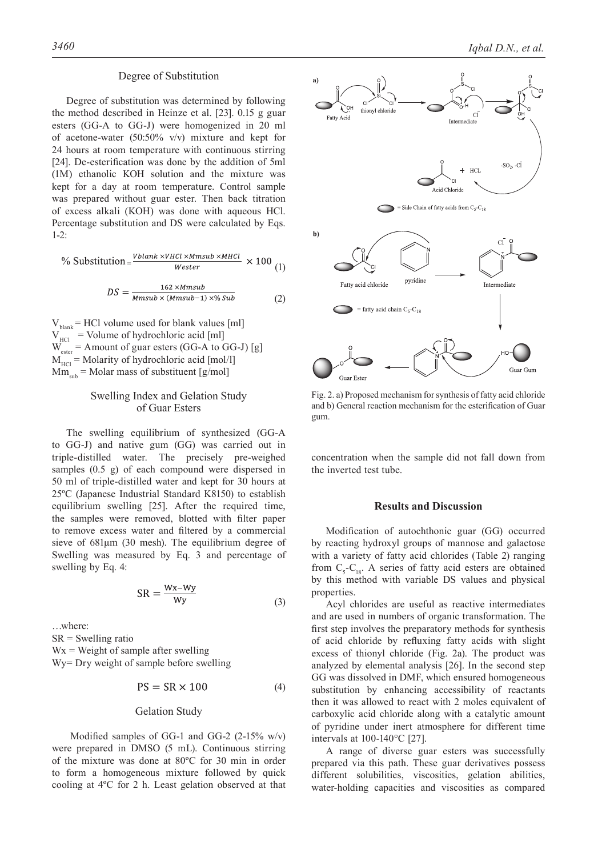#### Degree of Substitution

Degree of substitution was determined by following the method described in Heinze et al. [23]. 0.15 g guar esters (GG-A to GG-J) were homogenized in 20 ml of acetone-water (50:50% v/v) mixture and kept for 24 hours at room temperature with continuous stirring [24]. De-esterification was done by the addition of 5ml (1M) ethanolic KOH solution and the mixture was kept for a day at room temperature. Control sample was prepared without guar ester. Then back titration of excess alkali (KOH) was done with aqueous HCl. Percentage substitution and DS were calculated by Eqs. 1-2:

$$
\% Substitution = \frac{vblank \times VHC1 \times Mmsub \times MHC1}{Wester} \times 100 \tag{1}
$$

$$
DS = \frac{162 \times Mmsub}{Mmsub \times (Mmsub-1) \times \% Sub}
$$
 (2)

 $V_{\text{blank}}$  = HCl volume used for blank values [ml]  $V<sub>HCl</sub>$  = Volume of hydrochloric acid [ml]  $W_{\text{ester}}$  = Amount of guar esters (GG-A to GG-J) [g]  $M<sub>HC</sub>$  = Molarity of hydrochloric acid [mol/l]  $Mm_{sub}$  = Molar mass of substituent [g/mol]

#### Swelling Index and Gelation Study of Guar Esters

The swelling equilibrium of synthesized (GG-A to GG-J) and native gum (GG) was carried out in triple-distilled water. The precisely pre-weighed samples (0.5 g) of each compound were dispersed in 50 ml of triple-distilled water and kept for 30 hours at 25ºC (Japanese Industrial Standard K8150) to establish equilibrium swelling [25]. After the required time, the samples were removed, blotted with filter paper to remove excess water and filtered by a commercial sieve of 681μm (30 mesh). The equilibrium degree of Swelling was measured by Eq. 3 and percentage of swelling by Eq. 4:

$$
SR = \frac{Wx - Wy}{Wy} \tag{3}
$$

…where:  $SR = S$  welling ratio  $Wx$  = Weight of sample after swelling Wy= Dry weight of sample before swelling

$$
PS = SR \times 100 \tag{4}
$$

# Gelation Study

 Modified samples of GG-1 and GG-2 (2-15% w/v) were prepared in DMSO (5 mL). Continuous stirring of the mixture was done at 80ºC for 30 min in order to form a homogeneous mixture followed by quick cooling at 4ºC for 2 h. Least gelation observed at that



Fig. 2. a) Proposed mechanism for synthesis of fatty acid chloride and b) General reaction mechanism for the esterification of Guar gum.

concentration when the sample did not fall down from the inverted test tube.

#### **Results and Discussion**

Modification of autochthonic guar (GG) occurred by reacting hydroxyl groups of mannose and galactose with a variety of fatty acid chlorides (Table 2) ranging from  $C_5$ - $C_{18}$ . A series of fatty acid esters are obtained by this method with variable DS values and physical properties.

Acyl chlorides are useful as reactive intermediates and are used in numbers of organic transformation. The first step involves the preparatory methods for synthesis of acid chloride by refluxing fatty acids with slight excess of thionyl chloride (Fig. 2a). The product was analyzed by elemental analysis [26]. In the second step GG was dissolved in DMF, which ensured homogeneous substitution by enhancing accessibility of reactants then it was allowed to react with 2 moles equivalent of carboxylic acid chloride along with a catalytic amount of pyridine under inert atmosphere for different time intervals at 100-140°C [27].

A range of diverse guar esters was successfully prepared via this path. These guar derivatives possess different solubilities, viscosities, gelation abilities, water-holding capacities and viscosities as compared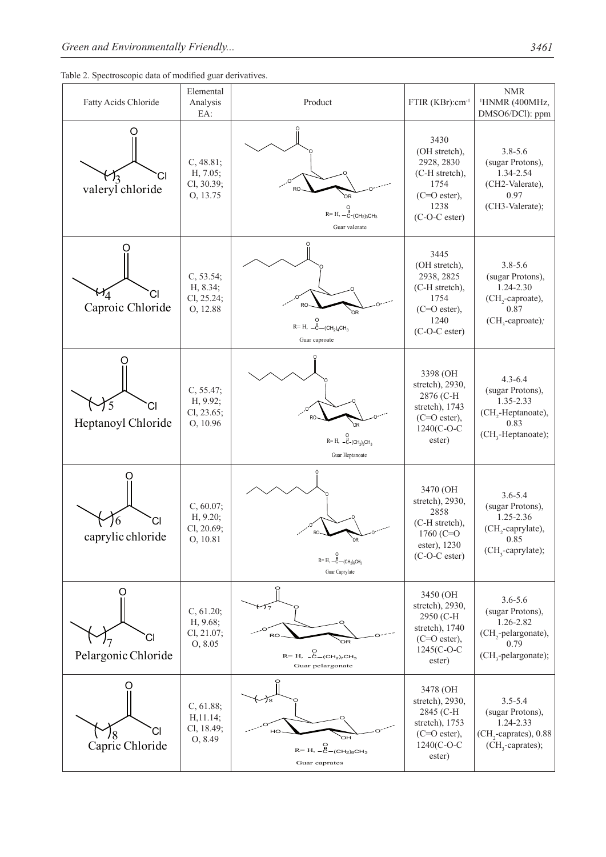

| Fatty Acids Chloride     | Elemental<br>Analysis<br>EA:                    | Product                                                                                                                                      | FTIR (KBr):cm <sup>-1</sup>                                                                                      | <b>NMR</b><br><sup>1</sup> HNMR (400MHz,<br>DMSO6/DCl): ppm                                                                |
|--------------------------|-------------------------------------------------|----------------------------------------------------------------------------------------------------------------------------------------------|------------------------------------------------------------------------------------------------------------------|----------------------------------------------------------------------------------------------------------------------------|
| CI<br>valeryl chloride   | C, 48.81;<br>H, 7.05;<br>Cl, 30.39;<br>0, 13.75 | <b>RO</b><br>$R=$ H, $-\frac{11}{C}$ -(CH <sub>2</sub> ) <sub>3</sub> CH <sub>3</sub><br>Guar valerate                                       | 3430<br>(OH stretch),<br>2928, 2830<br>(C-H stretch),<br>1754<br>$(C=O$ ester),<br>1238<br>(C-O-C ester)         | $3.8 - 5.6$<br>(sugar Protons),<br>1.34-2.54<br>(CH2-Valerate),<br>0.97<br>(CH3-Valerate);                                 |
| СI<br>Caproic Chloride   | C, 53.54;<br>H, 8.34;<br>Cl, 25.24;<br>O, 12.88 | RO<br>$R = H, -H$ <sub>C</sub> -(CH <sub>2</sub> ) <sub>4</sub> CH <sub>3</sub><br>Guar caproate                                             | 3445<br>(OH stretch),<br>2938, 2825<br>(C-H stretch),<br>1754<br>(C=O ester),<br>1240<br>(C-O-C ester)           | $3.8 - 5.6$<br>(sugar Protons),<br>1.24-2.30<br>(CH <sub>2</sub> -caproate),<br>0.87<br>(CH <sub>3</sub> -caproate);       |
| CI<br>Heptanoyl Chloride | C, 55.47;<br>H, 9.92;<br>Cl, 23.65;<br>O, 10.96 | $R=H, -C - (CH2)5CH3$<br>Guar Heptanoate                                                                                                     | 3398 (OH<br>stretch), 2930,<br>2876 (C-H<br>stretch), 1743<br>$(C=O$ ester),<br>1240(C-O-C<br>ester)             | $4.3 - 6.4$<br>(sugar Protons),<br>1.35-2.33<br>(CH <sub>2</sub> -Heptanoate),<br>0.83<br>$(CH3$ -Heptanoate);             |
| 6<br>caprylic chloride   | C, 60.07;<br>H, 9.20;<br>Cl, 20.69;<br>O, 10.81 | $R = H, -C - (CH2)6CH3$<br>Guar Caprylate                                                                                                    | 3470 (OH<br>stretch), 2930,<br>2858<br>(C-H stretch),<br>1760 $(C=O)$<br>ester), 1230<br>$(C-O-C \text{ ester})$ | $3.6 - 5.4$<br>(sugar Protons),<br>1.25-2.36<br>(CH <sub>2</sub> -caprylate),<br>0.85<br>$(CH_3$ -caprylate);              |
| Pelargonic Chloride      | C, 61.20;<br>H, 9.68;<br>Cl, 21.07;<br>O, 8.05  | ブァ<br>RO<br>OR.<br>$\mathsf{R} \text{= H}, \ \ \overset{\mathsf{O}}{\text{-}\mathsf{C}} \text{= (CH}_2)_7 \mathsf{CH}_3$<br>Guar pelargonate | 3450 (OH<br>stretch), 2930,<br>2950 (C-H<br>stretch), 1740<br>$(C=O$ ester),<br>1245(C-O-C<br>ester)             | $3.6 - 5.6$<br>(sugar Protons),<br>1.26-2.82<br>(CH <sub>2</sub> -pelargonate),<br>0.79<br>(CH <sub>3</sub> -pelargonate); |
| CI<br>Capric Chloride    | C, 61.88;<br>H, 11.14;<br>Cl, 18.49;<br>0,8.49  | 18<br>HO<br>ÒН<br>$R=$ H, $-C-(CH2)8CH3$<br>Guar caprates                                                                                    | 3478 (OH<br>stretch), 2930,<br>2845 (C-H<br>stretch), 1753<br>$(C=O$ ester),<br>1240(C-O-C<br>ester)             | $3.5 - 5.4$<br>(sugar Protons),<br>1.24-2.33<br>(CH <sub>2</sub> -caprates), 0.88<br>(CH <sub>3</sub> -caprates);          |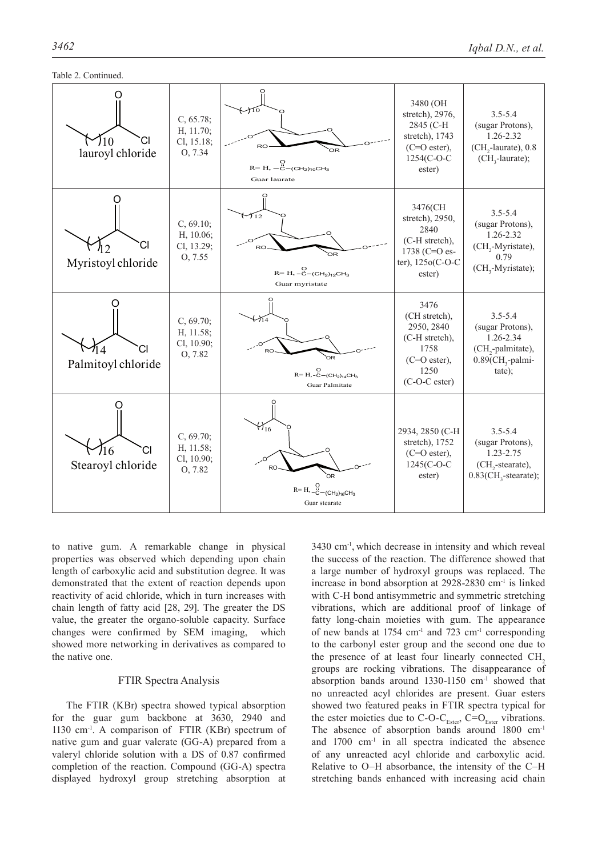

to native gum. A remarkable change in physical properties was observed which depending upon chain length of carboxylic acid and substitution degree. It was demonstrated that the extent of reaction depends upon reactivity of acid chloride, which in turn increases with chain length of fatty acid [28, 29]. The greater the DS value, the greater the organo-soluble capacity. Surface changes were confirmed by SEM imaging, which showed more networking in derivatives as compared to the native one.

#### FTIR Spectra Analysis

The FTIR (KBr) spectra showed typical absorption for the guar gum backbone at 3630, 2940 and 1130 cm-1. A comparison of FTIR (KBr) spectrum of native gum and guar valerate (GG-A) prepared from a valeryl chloride solution with a DS of 0.87 confirmed completion of the reaction. Compound (GG-A) spectra displayed hydroxyl group stretching absorption at

3430 cm-1, which decrease in intensity and which reveal the success of the reaction. The difference showed that a large number of hydroxyl groups was replaced. The increase in bond absorption at 2928-2830 cm-1 is linked with C-H bond antisymmetric and symmetric stretching vibrations, which are additional proof of linkage of fatty long-chain moieties with gum. The appearance of new bands at 1754 cm-1 and 723 cm-1 corresponding to the carbonyl ester group and the second one due to the presence of at least four linearly connected CH<sub>2</sub> groups are rocking vibrations. The disappearance of absorption bands around 1330-1150 cm-1 showed that no unreacted acyl chlorides are present. Guar esters showed two featured peaks in FTIR spectra typical for the ester moieties due to C-O-C<sub>Ester</sub>, C=O<sub>Ester</sub> vibrations. The absence of absorption bands around 1800 cm<sup>-1</sup> and  $1700 \text{ cm}^{-1}$  in all spectra indicated the absence of any unreacted acyl chloride and carboxylic acid. Relative to O–H absorbance, the intensity of the C–H stretching bands enhanced with increasing acid chain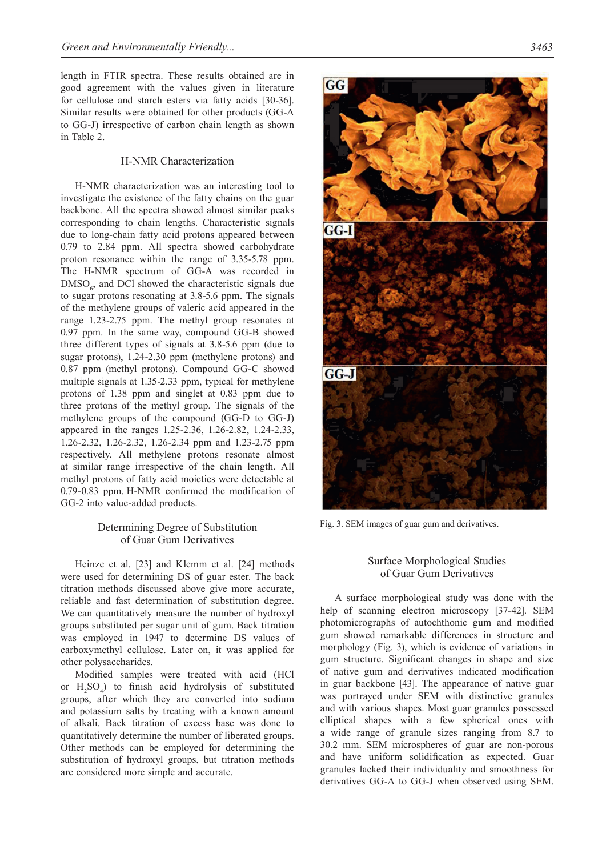length in FTIR spectra. These results obtained are in good agreement with the values given in literature for cellulose and starch esters via fatty acids [30-36]. Similar results were obtained for other products (GG-A to GG-J) irrespective of carbon chain length as shown in Table 2.

# H-NMR Characterization

H-NMR characterization was an interesting tool to investigate the existence of the fatty chains on the guar backbone. All the spectra showed almost similar peaks corresponding to chain lengths. Characteristic signals due to long-chain fatty acid protons appeared between 0.79 to 2.84 ppm. All spectra showed carbohydrate proton resonance within the range of 3.35-5.78 ppm. The H-NMR spectrum of GG-A was recorded in  $\text{DMSO}_6$ , and DCl showed the characteristic signals due to sugar protons resonating at 3.8-5.6 ppm. The signals of the methylene groups of valeric acid appeared in the range 1.23-2.75 ppm. The methyl group resonates at 0.97 ppm. In the same way, compound GG-B showed three different types of signals at 3.8-5.6 ppm (due to sugar protons), 1.24-2.30 ppm (methylene protons) and 0.87 ppm (methyl protons). Compound GG-C showed multiple signals at 1.35-2.33 ppm, typical for methylene protons of 1.38 ppm and singlet at 0.83 ppm due to three protons of the methyl group. The signals of the methylene groups of the compound (GG-D to GG-J) appeared in the ranges 1.25-2.36, 1.26-2.82, 1.24-2.33, 1.26-2.32, 1.26-2.32, 1.26-2.34 ppm and 1.23-2.75 ppm respectively. All methylene protons resonate almost at similar range irrespective of the chain length. All methyl protons of fatty acid moieties were detectable at 0.79-0.83 ppm. H-NMR confirmed the modification of GG-2 into value-added products.

#### Determining Degree of Substitution of Guar Gum Derivatives

Heinze et al. [23] and Klemm et al. [24] methods were used for determining DS of guar ester. The back titration methods discussed above give more accurate, reliable and fast determination of substitution degree. We can quantitatively measure the number of hydroxyl groups substituted per sugar unit of gum. Back titration was employed in 1947 to determine DS values of carboxymethyl cellulose. Later on, it was applied for other polysaccharides.

Modified samples were treated with acid (HCl or  $H_2SO_4$ ) to finish acid hydrolysis of substituted groups, after which they are converted into sodium and potassium salts by treating with a known amount of alkali. Back titration of excess base was done to quantitatively determine the number of liberated groups. Other methods can be employed for determining the substitution of hydroxyl groups, but titration methods are considered more simple and accurate.



Fig. 3. SEM images of guar gum and derivatives.

#### Surface Morphological Studies of Guar Gum Derivatives

A surface morphological study was done with the help of scanning electron microscopy [37-42]. SEM photomicrographs of autochthonic gum and modified gum showed remarkable differences in structure and morphology (Fig. 3), which is evidence of variations in gum structure. Significant changes in shape and size of native gum and derivatives indicated modification in guar backbone [43]. The appearance of native guar was portrayed under SEM with distinctive granules and with various shapes. Most guar granules possessed elliptical shapes with a few spherical ones with a wide range of granule sizes ranging from 8.7 to 30.2 mm. SEM microspheres of guar are non-porous and have uniform solidification as expected. Guar granules lacked their individuality and smoothness for derivatives GG-A to GG-J when observed using SEM.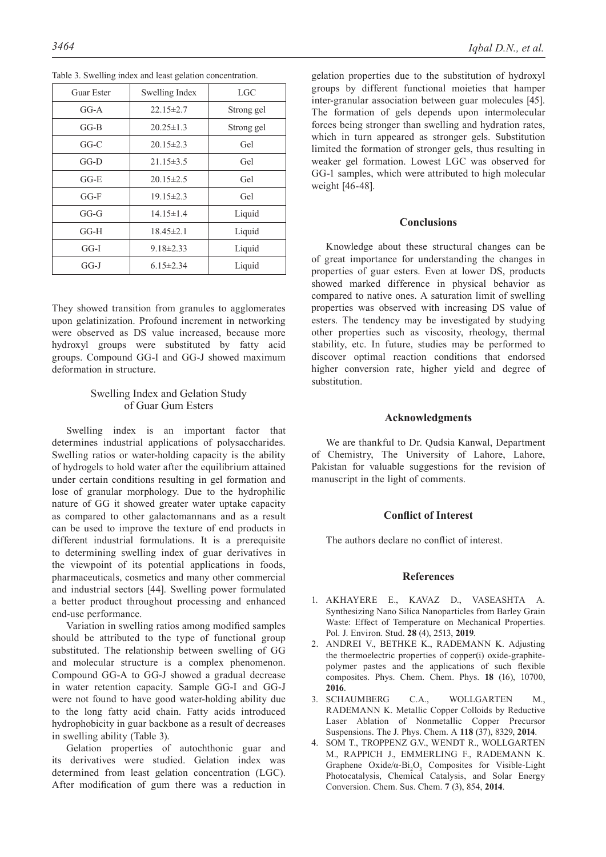| Guar Ester                        | Swelling Index  | <b>LGC</b> |
|-----------------------------------|-----------------|------------|
| $GG-A$                            | $22.15 \pm 2.7$ | Strong gel |
| GG-B                              | $20.25 \pm 1.3$ | Strong gel |
| $GG-C$                            | $20.15 \pm 2.3$ | Gel        |
| $GG-D$                            | $21.15 \pm 3.5$ | Gel        |
| $G$ <sub><math>F</math></sub> $E$ | $20.15 \pm 2.5$ | Gel        |
| $G$ -F                            | $19.15 \pm 2.3$ | Gel        |
| GG-G                              | $14.15 \pm 1.4$ | Liquid     |
| $GG-H$                            | $18.45 \pm 2.1$ | Liquid     |
| $GG-I$                            | $9.18 \pm 2.33$ | Liquid     |
| GG-J                              | $6.15 \pm 2.34$ | Liquid     |

Table 3. Swelling index and least gelation concentration.

They showed transition from granules to agglomerates upon gelatinization. Profound increment in networking were observed as DS value increased, because more hydroxyl groups were substituted by fatty acid groups. Compound GG-I and GG-J showed maximum deformation in structure.

# Swelling Index and Gelation Study of Guar Gum Esters

Swelling index is an important factor that determines industrial applications of polysaccharides. Swelling ratios or water-holding capacity is the ability of hydrogels to hold water after the equilibrium attained under certain conditions resulting in gel formation and lose of granular morphology. Due to the hydrophilic nature of GG it showed greater water uptake capacity as compared to other galactomannans and as a result can be used to improve the texture of end products in different industrial formulations. It is a prerequisite to determining swelling index of guar derivatives in the viewpoint of its potential applications in foods, pharmaceuticals, cosmetics and many other commercial and industrial sectors [44]. Swelling power formulated a better product throughout processing and enhanced end-use performance.

Variation in swelling ratios among modified samples should be attributed to the type of functional group substituted. The relationship between swelling of GG and molecular structure is a complex phenomenon. Compound GG-A to GG-J showed a gradual decrease in water retention capacity. Sample GG-I and GG-J were not found to have good water-holding ability due to the long fatty acid chain. Fatty acids introduced hydrophobicity in guar backbone as a result of decreases in swelling ability (Table 3).

Gelation properties of autochthonic guar and its derivatives were studied. Gelation index was determined from least gelation concentration (LGC). After modification of gum there was a reduction in

gelation properties due to the substitution of hydroxyl groups by different functional moieties that hamper inter-granular association between guar molecules [45]. The formation of gels depends upon intermolecular forces being stronger than swelling and hydration rates, which in turn appeared as stronger gels. Substitution limited the formation of stronger gels, thus resulting in weaker gel formation. Lowest LGC was observed for GG-1 samples, which were attributed to high molecular weight [46-48].

#### **Conclusions**

Knowledge about these structural changes can be of great importance for understanding the changes in properties of guar esters. Even at lower DS, products showed marked difference in physical behavior as compared to native ones. A saturation limit of swelling properties was observed with increasing DS value of esters. The tendency may be investigated by studying other properties such as viscosity, rheology, thermal stability, etc. In future, studies may be performed to discover optimal reaction conditions that endorsed higher conversion rate, higher yield and degree of substitution.

#### **Acknowledgments**

We are thankful to Dr. Qudsia Kanwal, Department of Chemistry, The University of Lahore, Lahore, Pakistan for valuable suggestions for the revision of manuscript in the light of comments.

#### **Conflict of Interest**

The authors declare no conflict of interest.

#### **References**

- 1. AKHAYERE E., KAVAZ D., VASEASHTA A. Synthesizing Nano Silica Nanoparticles from Barley Grain Waste: Effect of Temperature on Mechanical Properties. Pol. J. Environ. Stud. **28** (4), 2513, **2019**.
- 2. ANDREI V., BETHKE K., RADEMANN K. Adjusting the thermoelectric properties of copper(i) oxide-graphitepolymer pastes and the applications of such flexible composites. Phys. Chem. Chem. Phys. **18** (16), 10700, **2016**.
- 3. SCHAUMBERG C.A., WOLLGARTEN M., RADEMANN K. Metallic Copper Colloids by Reductive Laser Ablation of Nonmetallic Copper Precursor Suspensions. The J. Phys. Chem. A **118** (37), 8329, **2014**.
- 4. SOM T., TROPPENZ G.V., WENDT R., WOLLGARTEN M., RAPPICH J., EMMERLING F., RADEMANN K. Graphene Oxide/ $\alpha$ -Bi<sub>2</sub>O<sub>3</sub> Composites for Visible-Light Photocatalysis, Chemical Catalysis, and Solar Energy Conversion. Chem. Sus. Chem. **7** (3), 854, **2014**.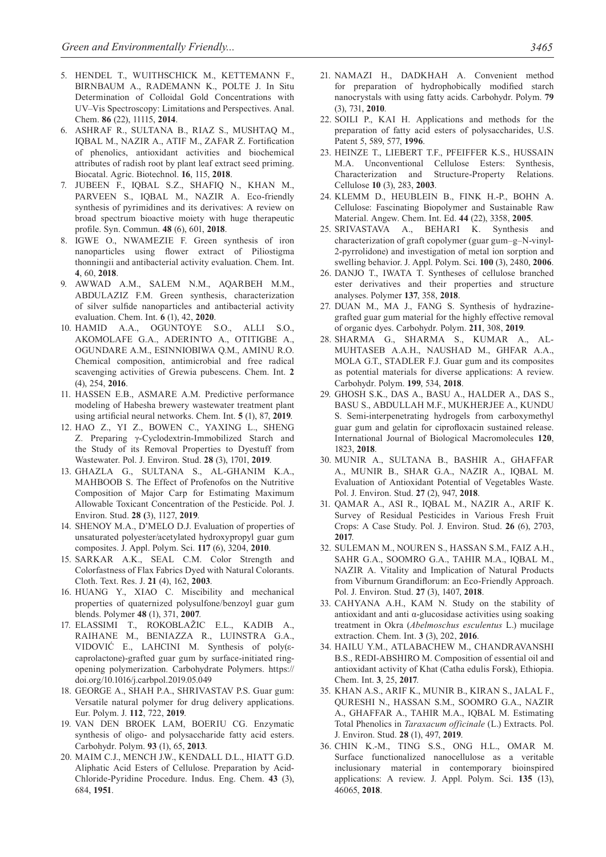- 5. HENDEL T., WUITHSCHICK M., KETTEMANN F., BIRNBAUM A., RADEMANN K., POLTE J. In Situ Determination of Colloidal Gold Concentrations with UV–Vis Spectroscopy: Limitations and Perspectives. Anal. Chem. **86** (22), 11115, **2014**.
- 6. ASHRAF R., SULTANA B., RIAZ S., MUSHTAQ M., IQBAL M., NAZIR A., ATIF M., ZAFAR Z. Fortification of phenolics, antioxidant activities and biochemical attributes of radish root by plant leaf extract seed priming. Biocatal. Agric. Biotechnol. **16**, 115, **2018**.
- 7. JUBEEN F., IQBAL S.Z., SHAFIQ N., KHAN M., PARVEEN S., IQBAL M., NAZIR A. Eco-friendly synthesis of pyrimidines and its derivatives: A review on broad spectrum bioactive moiety with huge therapeutic profile. Syn. Commun. **48** (6), 601, **2018**.
- 8. IGWE O., NWAMEZIE F. Green synthesis of iron nanoparticles using flower extract of Piliostigma thonningii and antibacterial activity evaluation. Chem. Int. **4**, 60, **2018**.
- 9. AWWAD A.M., Salem N.M., AQARBEH M.M., ABDULAZIZ F.M. Green synthesis, characterization of silver sulfide nanoparticles and antibacterial activity evaluation. Chem. Int. **6** (1), 42, **2020**.
- 10. HAMID A.A., OGUNTOYE S.O., ALLI S.O., AKOMOLAFE G.A., ADERINTO A., OTITIGBE A., OGUNDARE A.M., ESINNIOBIWA Q.M., AMINU R.O. Chemical composition, antimicrobial and free radical scavenging activities of Grewia pubescens. Chem. Int. **2**  (4), 254, **2016**.
- 11. HASSEN E.B., ASMARE A.M. Predictive performance modeling of Habesha brewery wastewater treatment plant using artificial neural networks. Chem. Int. **5** (1), 87, **2019**.
- 12. HAO Z., YI Z., BOWEN C., YAXING L., SHENG Z. Preparing γ-Cyclodextrin-Immobilized Starch and the Study of its Removal Properties to Dyestuff from Wastewater. Pol. J. Environ. Stud. **28** (3), 1701, **2019**.
- 13. GHAZLA G., SULTANA S., AL-GHANIM K.A., MAHBOOB S. The Effect of Profenofos on the Nutritive Composition of Major Carp for Estimating Maximum Allowable Toxicant Concentration of the Pesticide. Pol. J. Environ. Stud. **28 (**3), 1127, **2019**.
- 14. SHENOY M.A., D'MELO D.J. Evaluation of properties of unsaturated polyester/acetylated hydroxypropyl guar gum composites. J. Appl. Polym. Sci. **117** (6), 3204, **2010**.
- 15. SARKAR A.K., SEAL C.M. Color Strength and Colorfastness of Flax Fabrics Dyed with Natural Colorants. Cloth. Text. Res. J. **21** (4), 162, **2003**.
- 16. HUANG Y., XIAO C. Miscibility and mechanical properties of quaternized polysulfone/benzoyl guar gum blends. Polymer **48** (1), 371, **2007**.
- 17. ELASSIMI T., ROKOBLAŽIC E.L., KADIB A., RAIHANE M., BENIAZZA R., LUINSTRA G.A., VIDOVIĆ E., LAHCINI M. Synthesis of poly(εcaprolactone)-grafted guar gum by surface-initiated ringopening polymerization. Carbohydrate Polymers. https:// doi.org/10.1016/j.carbpol.2019.05.049
- 18. GEORGE A., SHAH P.A., SHRIVASTAV P.S. Guar gum: Versatile natural polymer for drug delivery applications. Eur. Polym. J. **112**, 722, **2019**.
- 19. VAN DEN BROEK LAM, BOERIU CG. Enzymatic synthesis of oligo- and polysaccharide fatty acid esters. Carbohydr. Polym. **93** (1), 65, **2013**.
- 20. MAIM C.J., MENCH J.W., KENDALL D.L., HIATT G.D. Aliphatic Acid Esters of Cellulose. Preparation by Acid-Chloride-Pyridine Procedure. Indus. Eng. Chem. **43** (3), 684, **1951**.
- 21. NAMAZI H., DADKHAH A. Convenient method for preparation of hydrophobically modified starch nanocrystals with using fatty acids. Carbohydr. Polym. **79** (3), 731, **2010**.
- 22. SOILI P., KAI H. Applications and methods for the preparation of fatty acid esters of polysaccharides, U.S. Patent 5, 589, 577, **1996**.
- 23. HEINZE T., LIEBERT T.F., PFEIFFER K.S., HUSSAIN M.A. Unconventional Cellulose Esters: Synthesis, Characterization and Structure-Property Relations. Cellulose **10** (3), 283, **2003**.
- 24. KLEMM D., HEUBLEIN B., FINK H.-P., BOHN A. Cellulose: Fascinating Biopolymer and Sustainable Raw Material. Angew. Chem. Int. Ed. **44** (22), 3358, **2005**.
- 25. SRIVASTAVA A., BEHARI K. Synthesis and characterization of graft copolymer (guar gum–g–N-vinyl-2-pyrrolidone) and investigation of metal ion sorption and swelling behavior. J. Appl. Polym. Sci. **100** (3), 2480, **2006**.
- 26. DANJO T., IWATA T. Syntheses of cellulose branched ester derivatives and their properties and structure analyses. Polymer **137**, 358, **2018**.
- 27. DUAN M., MA J., FANG S. Synthesis of hydrazinegrafted guar gum material for the highly effective removal of organic dyes. Carbohydr. Polym. **211**, 308, **2019**.
- 28. SHARMA G., SHARMA S., KUMAR A., AL-MUHTASEB A.A.H., NAUSHAD M., GHFAR A.A., MOLA G.T., STADLER F.J. Guar gum and its composites as potential materials for diverse applications: A review. Carbohydr. Polym. **199**, 534, **2018**.
- 29. GHOSH S.K., DAS A., BASU A., HALDER A., DAS S., BASU S., ABDULLAH M.F., MUKHERJEE A., KUNDU S. Semi-interpenetrating hydrogels from carboxymethyl guar gum and gelatin for ciprofloxacin sustained release. International Journal of Biological Macromolecules **120**, 1823, **2018**.
- 30. MUNIR A., SULTANA B., BASHIR A., GHAFFAR A., MUNIR B., SHAR G.A., NAZIR A., IQBAL M. Evaluation of Antioxidant Potential of Vegetables Waste. Pol. J. Environ. Stud. **27** (2), 947, **2018**.
- 31. QAMAR A., ASI R., IQBAL M., NAZIR A., ARIF K. Survey of Residual Pesticides in Various Fresh Fruit Crops: A Case Study. Pol. J. Environ. Stud. **26** (6), 2703, **2017**.
- 32. SULEMAN M., NOUREN S., HASSAN S.M., FAIZ A.H., SAHR G.A., SOOMRO G.A., TAHIR M.A., IQBAL M., NAZIR A. Vitality and Implication of Natural Products from Viburnum Grandiflorum: an Eco-Friendly Approach. Pol. J. Environ. Stud. **27** (3), 1407, **2018**.
- 33. CAHYANA A.H., KAM N. Study on the stability of antioxidant and anti α-glucosidase activities using soaking treatment in Okra (*Abelmoschus esculentus* L.) mucilage extraction. Chem. Int. **3** (3), 202, **2016**.
- 34. HAILU Y.M., ATLABACHEW M., CHANDRAVANSHI B.S., REDI-ABSHIRO M. Composition of essential oil and antioxidant activity of Khat (Catha edulis Forsk), Ethiopia. Chem. Int. **3**, 25, **2017**.
- 35. KHAN A.S., ARIF K., MUNIR B., KIRAN S., JALAL F., QURESHI N., HASSAN S.M., SOOMRO G.A., NAZIR A., GHAFFAR A., TAHIR M.A., IQBAL M. Estimating Total Phenolics in *Taraxacum officinale* (L.) Extracts. Pol. J. Environ. Stud. **28** (1), 497, **2019**.
- 36. CHIN K.-M., TING S.S., ONG H.L., OMAR M. Surface functionalized nanocellulose as a veritable inclusionary material in contemporary bioinspired applications: A review. J. Appl. Polym. Sci. **135** (13), 46065, **2018**.